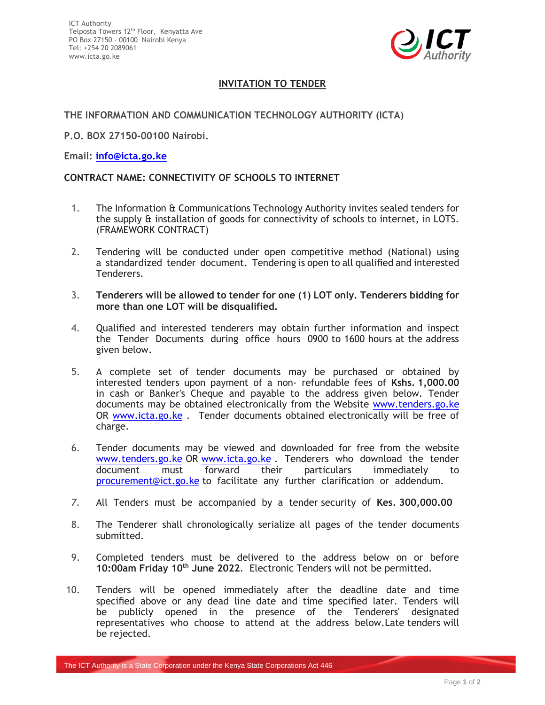

## **INVITATION TO TENDER**

## **THE INFORMATION AND COMMUNICATION TECHNOLOGY AUTHORITY (ICTA)**

**P.O. BOX 27150-00100 Nairobi.**

## **Email: [info@icta.go.ke](mailto:info@icta.go.ke)**

## **CONTRACT NAME: CONNECTIVITY OF SCHOOLS TO INTERNET**

- 1. The Information & Communications Technology Authority invites sealed tenders for the supply & installation of goods for connectivity of schools to internet, in LOTS. (FRAMEWORK CONTRACT)
- 2. Tendering will be conducted under open competitive method (National) using a standardized tender document. Tendering is open to all qualified and interested Tenderers.
- 3. **Tenderers will be allowed to tender for one (1) LOT only. Tenderers bidding for more than one LOT will be disqualified.**
- 4. Qualified and interested tenderers may obtain further information and inspect the Tender Documents during office hours 0900 to 1600 hours at the address given below.
- 5. A complete set of tender documents may be purchased or obtained by interested tenders upon payment of a non- refundable fees of **Kshs. 1,000.00** in cash or Banker's Cheque and payable to the address given below. Tender documents may be obtained electronically from the Website [www.tenders.go.ke](http://www.tenders.go.ke/) OR [www.icta.go.ke](http://www.icta.go.ke/) *.* Tender documents obtained electronically will be free of charge.
- 6. Tender documents may be viewed and downloaded for free from the website [www.tenders.go.ke](http://www.tenders.go.ke/) OR [www.icta.go.ke](http://www.icta.go.ke/) . Tenderers who download the tender document must forward their particulars immediately to [procurement@ict.go.ke](mailto:procurement@ict.go.ke) to facilitate any further clarification or addendum.
- *7.* All Tenders must be accompanied by a tender security of **Kes. 300,000.00**
- 8. The Tenderer shall chronologically serialize all pages of the tender documents submitted.
- 9. Completed tenders must be delivered to the address below on or before **10:00am Friday 10th June 2022***.* Electronic Tenders will not be permitted.
- 10. Tenders will be opened immediately after the deadline date and time specified above or any dead line date and time specified later. Tenders will be publicly opened in the presence of the Tenderers' designated representatives who choose to attend at the address below.Late tenders will be rejected.